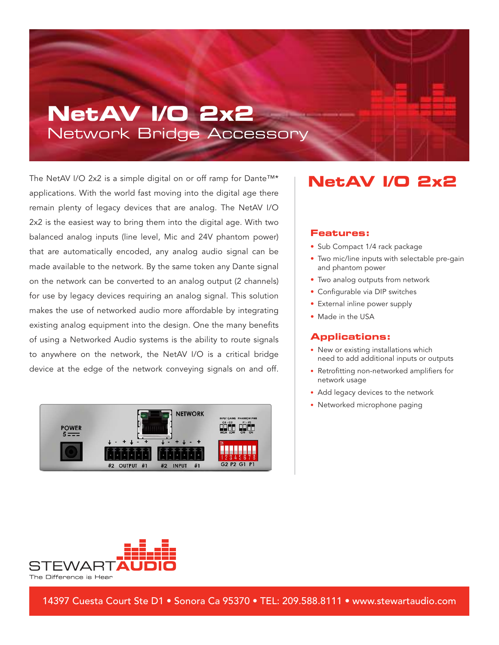## **NetAV I/O 2x2** Network Bridge Accessory

The NetAV I/O 2x2 is a simple digital on or off ramp for Dante™\* applications. With the world fast moving into the digital age there remain plenty of legacy devices that are analog. The NetAV I/O 2x2 is the easiest way to bring them into the digital age. With two balanced analog inputs (line level, Mic and 24V phantom power) that are automatically encoded, any analog audio signal can be made available to the network. By the same token any Dante signal on the network can be converted to an analog output (2 channels) for use by legacy devices requiring an analog signal. This solution makes the use of networked audio more affordable by integrating existing analog equipment into the design. One the many benefits of using a Networked Audio systems is the ability to route signals to anywhere on the network, the NetAV I/O is a critical bridge device at the edge of the network conveying signals on and off.



### **NetAV I/O 2x2**

#### **Features:**

- Sub Compact 1/4 rack package
- Two mic/line inputs with selectable pre-gain and phantom power
- Two analog outputs from network
- Configurable via DIP switches
- External inline power supply
- Made in the USA

#### **Applications:**

- New or existing installations which need to add additional inputs or outputs
- Retrofitting non-networked amplifiers for network usage
- Add legacy devices to the network
- Networked microphone paging



14397 Cuesta Court Ste D1 • Sonora Ca 95370 • TEL: 209.588.8111 • www.stewartaudio.com